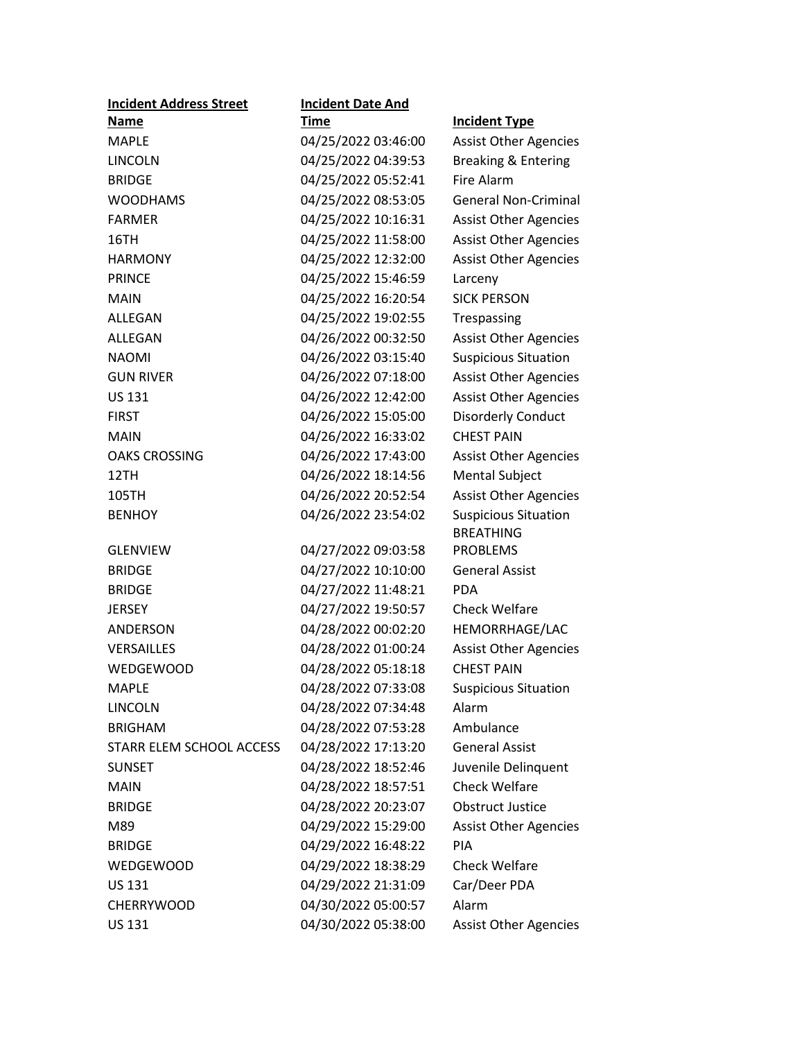| <b>Incident Address Street</b> | <b>Incident Date And</b> |                              |
|--------------------------------|--------------------------|------------------------------|
| <b>Name</b>                    | Time                     | <b>Incident Type</b>         |
| <b>MAPLE</b>                   | 04/25/2022 03:46:00      | <b>Assist Other Agencies</b> |
| <b>LINCOLN</b>                 | 04/25/2022 04:39:53      | Breaking & Entering          |
| <b>BRIDGE</b>                  | 04/25/2022 05:52:41      | <b>Fire Alarm</b>            |
| <b>WOODHAMS</b>                | 04/25/2022 08:53:05      | <b>General Non-Criminal</b>  |
| <b>FARMER</b>                  | 04/25/2022 10:16:31      | <b>Assist Other Agencies</b> |
| 16TH                           | 04/25/2022 11:58:00      | <b>Assist Other Agencies</b> |
| <b>HARMONY</b>                 | 04/25/2022 12:32:00      | <b>Assist Other Agencies</b> |
| <b>PRINCE</b>                  | 04/25/2022 15:46:59      | Larceny                      |
| <b>MAIN</b>                    | 04/25/2022 16:20:54      | <b>SICK PERSON</b>           |
| ALLEGAN                        | 04/25/2022 19:02:55      | Trespassing                  |
| ALLEGAN                        | 04/26/2022 00:32:50      | <b>Assist Other Agencies</b> |
| <b>NAOMI</b>                   | 04/26/2022 03:15:40      | <b>Suspicious Situation</b>  |
| <b>GUN RIVER</b>               | 04/26/2022 07:18:00      | <b>Assist Other Agencies</b> |
| <b>US 131</b>                  | 04/26/2022 12:42:00      | <b>Assist Other Agencies</b> |
| <b>FIRST</b>                   | 04/26/2022 15:05:00      | <b>Disorderly Conduct</b>    |
| <b>MAIN</b>                    | 04/26/2022 16:33:02      | <b>CHEST PAIN</b>            |
| <b>OAKS CROSSING</b>           | 04/26/2022 17:43:00      | <b>Assist Other Agencies</b> |
| 12TH                           | 04/26/2022 18:14:56      | <b>Mental Subject</b>        |
| 105TH                          | 04/26/2022 20:52:54      | <b>Assist Other Agencies</b> |
| <b>BENHOY</b>                  | 04/26/2022 23:54:02      | <b>Suspicious Situation</b>  |
|                                |                          | <b>BREATHING</b>             |
| <b>GLENVIEW</b>                | 04/27/2022 09:03:58      | <b>PROBLEMS</b>              |
| <b>BRIDGE</b>                  | 04/27/2022 10:10:00      | <b>General Assist</b>        |
| <b>BRIDGE</b>                  | 04/27/2022 11:48:21      | <b>PDA</b>                   |
| <b>JERSEY</b>                  | 04/27/2022 19:50:57      | <b>Check Welfare</b>         |
| <b>ANDERSON</b>                | 04/28/2022 00:02:20      | HEMORRHAGE/LAC               |
| VERSAILLES                     | 04/28/2022 01:00:24      | <b>Assist Other Agencies</b> |
| <b>WEDGEWOOD</b>               | 04/28/2022 05:18:18      | <b>CHEST PAIN</b>            |
| <b>MAPLE</b>                   | 04/28/2022 07:33:08      | <b>Suspicious Situation</b>  |
| <b>LINCOLN</b>                 | 04/28/2022 07:34:48      | Alarm                        |
| <b>BRIGHAM</b>                 | 04/28/2022 07:53:28      | Ambulance                    |
| STARR ELEM SCHOOL ACCESS       | 04/28/2022 17:13:20      | <b>General Assist</b>        |
| <b>SUNSET</b>                  | 04/28/2022 18:52:46      | Juvenile Delinquent          |
| <b>MAIN</b>                    | 04/28/2022 18:57:51      | <b>Check Welfare</b>         |
| <b>BRIDGE</b>                  | 04/28/2022 20:23:07      | <b>Obstruct Justice</b>      |
| M89                            | 04/29/2022 15:29:00      | <b>Assist Other Agencies</b> |
| <b>BRIDGE</b>                  | 04/29/2022 16:48:22      | PIA                          |
| <b>WEDGEWOOD</b>               | 04/29/2022 18:38:29      | <b>Check Welfare</b>         |
| <b>US 131</b>                  | 04/29/2022 21:31:09      | Car/Deer PDA                 |
| <b>CHERRYWOOD</b>              | 04/30/2022 05:00:57      | Alarm                        |
| <b>US 131</b>                  | 04/30/2022 05:38:00      | <b>Assist Other Agencies</b> |
|                                |                          |                              |